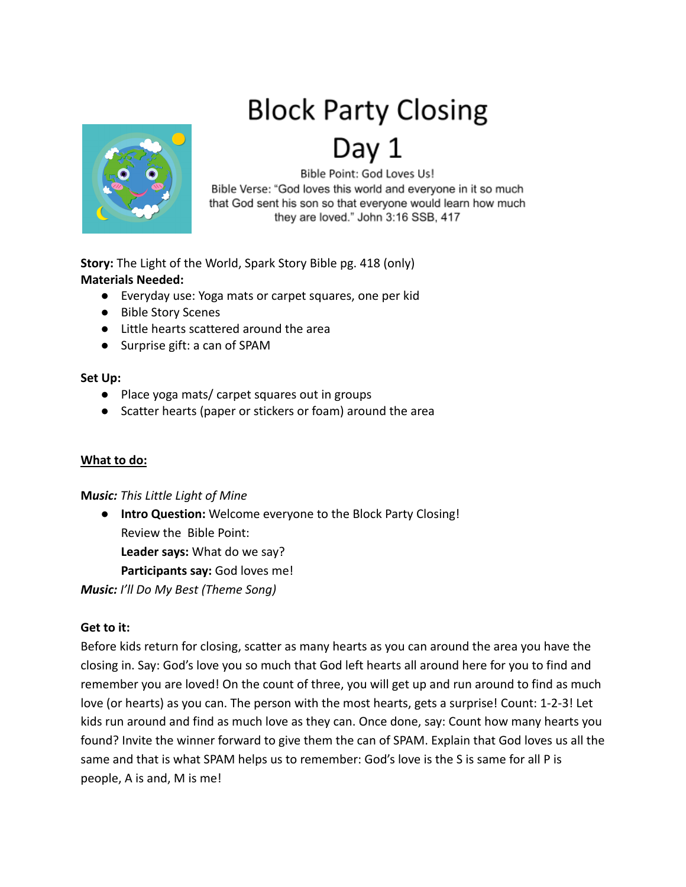# **Block Party Closing**



Bible Point: God Loves Us! Bible Verse: "God loves this world and everyone in it so much that God sent his son so that everyone would learn how much they are loved." John 3:16 SSB, 417

**Story:** The Light of the World, Spark Story Bible pg. 418 (only) **Materials Needed:**

- Everyday use: Yoga mats or carpet squares, one per kid
- Bible Story Scenes
- Little hearts scattered around the area
- Surprise gift: a can of SPAM

#### **Set Up:**

- Place yoga mats/ carpet squares out in groups
- Scatter hearts (paper or stickers or foam) around the area

# **What to do:**

# **M***usic: This Little Light of Mine*

● **Intro Question:** Welcome everyone to the Block Party Closing! Review the Bible Point: **Leader says:** What do we say? **Participants say:** God loves me!

*Music: I'll Do My Best (Theme Song)*

# **Get to it:**

Before kids return for closing, scatter as many hearts as you can around the area you have the closing in. Say: God's love you so much that God left hearts all around here for you to find and remember you are loved! On the count of three, you will get up and run around to find as much love (or hearts) as you can. The person with the most hearts, gets a surprise! Count: 1-2-3! Let kids run around and find as much love as they can. Once done, say: Count how many hearts you found? Invite the winner forward to give them the can of SPAM. Explain that God loves us all the same and that is what SPAM helps us to remember: God's love is the S is same for all P is people, A is and, M is me!